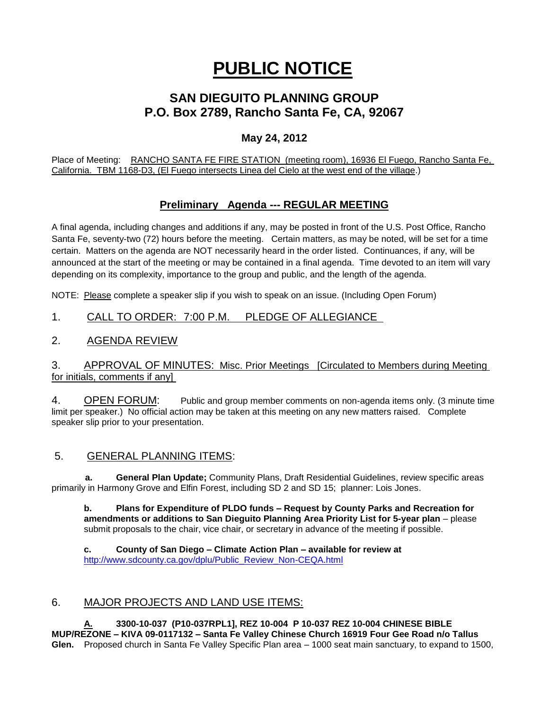# **PUBLIC NOTICE**

## **SAN DIEGUITO PLANNING GROUP P.O. Box 2789, Rancho Santa Fe, CA, 92067**

#### **May 24, 2012**

Place of Meeting: RANCHO SANTA FE FIRE STATION (meeting room), 16936 El Fuego, Rancho Santa Fe, California. TBM 1168-D3, (El Fuego intersects Linea del Cielo at the west end of the village.)

### **Preliminary Agenda --- REGULAR MEETING**

A final agenda, including changes and additions if any, may be posted in front of the U.S. Post Office, Rancho Santa Fe, seventy-two (72) hours before the meeting. Certain matters, as may be noted, will be set for a time certain. Matters on the agenda are NOT necessarily heard in the order listed. Continuances, if any, will be announced at the start of the meeting or may be contained in a final agenda. Time devoted to an item will vary depending on its complexity, importance to the group and public, and the length of the agenda.

NOTE: Please complete a speaker slip if you wish to speak on an issue. (Including Open Forum)

#### 1. CALL TO ORDER: 7:00 P.M. PLEDGE OF ALLEGIANCE

#### 2. AGENDA REVIEW

#### 3. APPROVAL OF MINUTES: Misc. Prior Meetings [Circulated to Members during Meeting for initials, comments if any]

4. OPEN FORUM: Public and group member comments on non-agenda items only. (3 minute time limit per speaker.) No official action may be taken at this meeting on any new matters raised. Complete speaker slip prior to your presentation.

#### 5. GENERAL PLANNING ITEMS:

 **a. General Plan Update;** Community Plans, Draft Residential Guidelines, review specific areas primarily in Harmony Grove and Elfin Forest, including SD 2 and SD 15; planner: Lois Jones.

**b. Plans for Expenditure of PLDO funds – Request by County Parks and Recreation for amendments or additions to San Dieguito Planning Area Priority List for 5-year plan** – please submit proposals to the chair, vice chair, or secretary in advance of the meeting if possible.

**c. County of San Diego – Climate Action Plan – available for review at**  [http://www.sdcounty.ca.gov/dplu/Public\\_Review\\_Non-CEQA.html](http://www.sdcounty.ca.gov/dplu/Public_Review_Non-CEQA.html)

#### 6. MAJOR PROJECTS AND LAND USE ITEMS:

**A. 3300-10-037 (P10-037RPL1], REZ 10-004 P 10-037 REZ 10-004 CHINESE BIBLE MUP/REZONE – KIVA 09-0117132 – Santa Fe Valley Chinese Church 16919 Four Gee Road n/o Tallus Glen.** Proposed church in Santa Fe Valley Specific Plan area – 1000 seat main sanctuary, to expand to 1500,